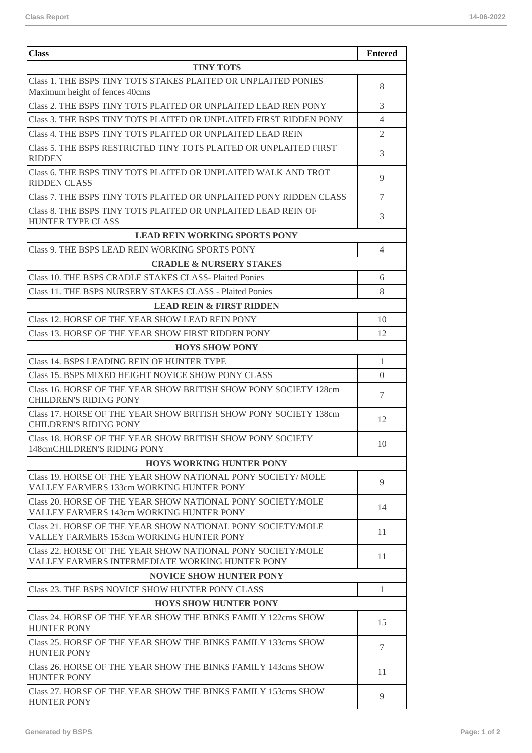| <b>Class</b>                                                                                                   | <b>Entered</b> |  |
|----------------------------------------------------------------------------------------------------------------|----------------|--|
| <b>TINY TOTS</b>                                                                                               |                |  |
| Class 1. THE BSPS TINY TOTS STAKES PLAITED OR UNPLAITED PONIES<br>Maximum height of fences 40cms               | 8              |  |
| Class 2. THE BSPS TINY TOTS PLAITED OR UNPLAITED LEAD REN PONY                                                 | 3              |  |
| Class 3. THE BSPS TINY TOTS PLAITED OR UNPLAITED FIRST RIDDEN PONY                                             | 4              |  |
| Class 4. THE BSPS TINY TOTS PLAITED OR UNPLAITED LEAD REIN                                                     | $\overline{2}$ |  |
| Class 5. THE BSPS RESTRICTED TINY TOTS PLAITED OR UNPLAITED FIRST<br><b>RIDDEN</b>                             | 3              |  |
| Class 6. THE BSPS TINY TOTS PLAITED OR UNPLAITED WALK AND TROT<br><b>RIDDEN CLASS</b>                          | 9              |  |
| Class 7. THE BSPS TINY TOTS PLAITED OR UNPLAITED PONY RIDDEN CLASS                                             | 7              |  |
| Class 8. THE BSPS TINY TOTS PLAITED OR UNPLAITED LEAD REIN OF<br><b>HUNTER TYPE CLASS</b>                      | 3              |  |
| <b>LEAD REIN WORKING SPORTS PONY</b>                                                                           |                |  |
| Class 9. THE BSPS LEAD REIN WORKING SPORTS PONY                                                                | 4              |  |
| <b>CRADLE &amp; NURSERY STAKES</b>                                                                             |                |  |
| Class 10. THE BSPS CRADLE STAKES CLASS- Plaited Ponies                                                         | 6              |  |
| Class 11. THE BSPS NURSERY STAKES CLASS - Plaited Ponies                                                       | 8              |  |
| <b>LEAD REIN &amp; FIRST RIDDEN</b>                                                                            |                |  |
| Class 12. HORSE OF THE YEAR SHOW LEAD REIN PONY                                                                | 10             |  |
| Class 13. HORSE OF THE YEAR SHOW FIRST RIDDEN PONY                                                             | 12             |  |
| <b>HOYS SHOW PONY</b>                                                                                          |                |  |
| Class 14. BSPS LEADING REIN OF HUNTER TYPE                                                                     | $\mathbf{1}$   |  |
| Class 15. BSPS MIXED HEIGHT NOVICE SHOW PONY CLASS                                                             | $\Omega$       |  |
| Class 16. HORSE OF THE YEAR SHOW BRITISH SHOW PONY SOCIETY 128cm<br><b>CHILDREN'S RIDING PONY</b>              | 7              |  |
| Class 17. HORSE OF THE YEAR SHOW BRITISH SHOW PONY SOCIETY 138cm<br><b>CHILDREN'S RIDING PONY</b>              | 12             |  |
| Class 18. HORSE OF THE YEAR SHOW BRITISH SHOW PONY SOCIETY<br>148cmCHILDREN'S RIDING PONY                      | 10             |  |
| <b>HOYS WORKING HUNTER PONY</b>                                                                                |                |  |
| Class 19. HORSE OF THE YEAR SHOW NATIONAL PONY SOCIETY/MOLE<br><b>VALLEY FARMERS 133cm WORKING HUNTER PONY</b> | 9              |  |
| Class 20. HORSE OF THE YEAR SHOW NATIONAL PONY SOCIETY/MOLE<br>VALLEY FARMERS 143cm WORKING HUNTER PONY        | 14             |  |
| Class 21. HORSE OF THE YEAR SHOW NATIONAL PONY SOCIETY/MOLE<br>VALLEY FARMERS 153cm WORKING HUNTER PONY        | 11             |  |
| Class 22. HORSE OF THE YEAR SHOW NATIONAL PONY SOCIETY/MOLE<br>VALLEY FARMERS INTERMEDIATE WORKING HUNTER PONY | 11             |  |
| <b>NOVICE SHOW HUNTER PONY</b>                                                                                 |                |  |
| Class 23. THE BSPS NOVICE SHOW HUNTER PONY CLASS                                                               | $\mathbf{1}$   |  |
| <b>HOYS SHOW HUNTER PONY</b>                                                                                   |                |  |
| Class 24. HORSE OF THE YEAR SHOW THE BINKS FAMILY 122cms SHOW<br><b>HUNTER PONY</b>                            | 15             |  |
| Class 25. HORSE OF THE YEAR SHOW THE BINKS FAMILY 133cms SHOW<br><b>HUNTER PONY</b>                            | $\tau$         |  |
| Class 26. HORSE OF THE YEAR SHOW THE BINKS FAMILY 143cms SHOW<br><b>HUNTER PONY</b>                            | 11             |  |
| Class 27. HORSE OF THE YEAR SHOW THE BINKS FAMILY 153cms SHOW<br><b>HUNTER PONY</b>                            | 9              |  |